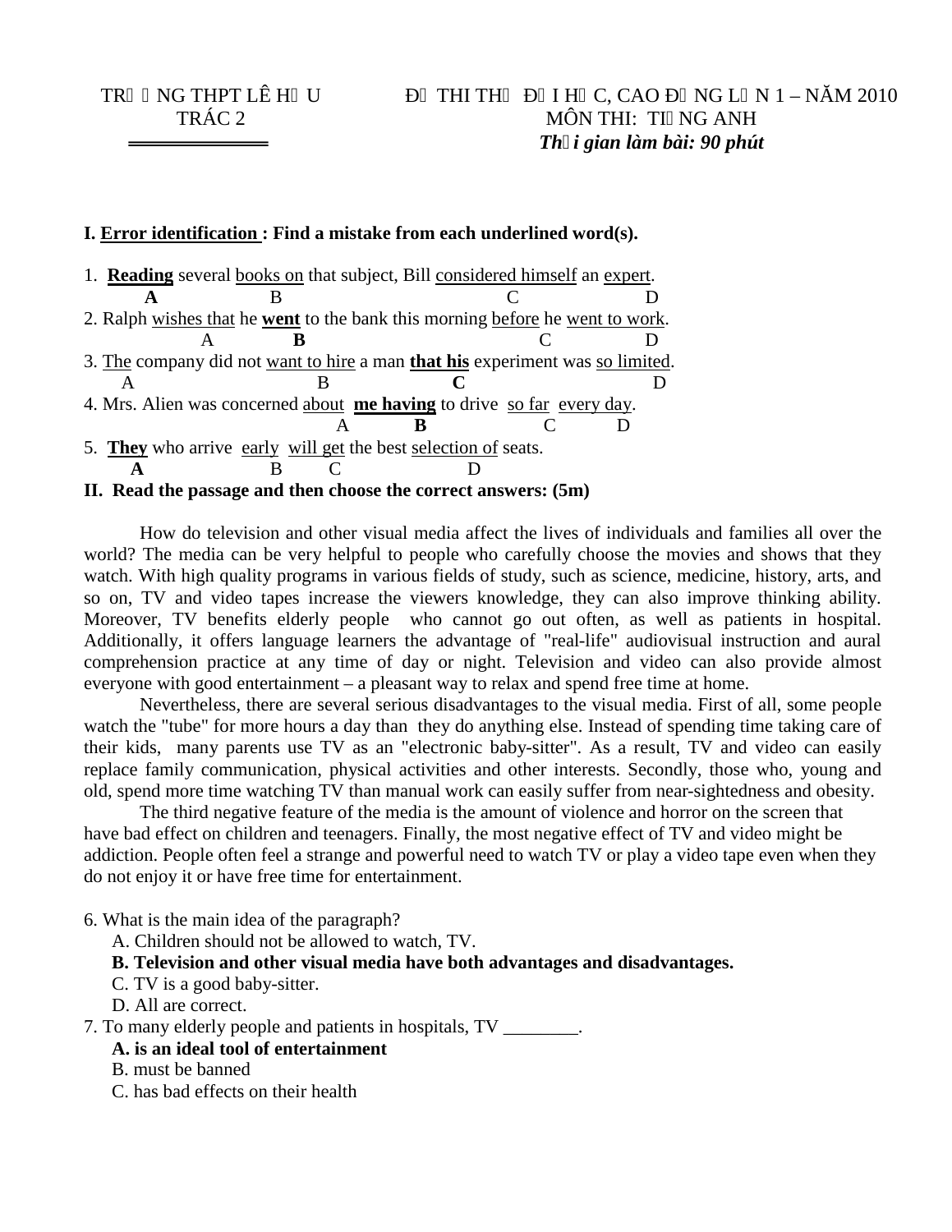#### **I. Error identification : Find a mistake from each underlined word(s).**

| 1. <b>Reading</b> several books on that subject, Bill considered himself an expert. |  |  |  |  |  |
|-------------------------------------------------------------------------------------|--|--|--|--|--|
|                                                                                     |  |  |  |  |  |
| 2. Ralph wishes that he went to the bank this morning before he went to work.       |  |  |  |  |  |
|                                                                                     |  |  |  |  |  |
| 3. The company did not want to hire a man that his experiment was so limited.       |  |  |  |  |  |
|                                                                                     |  |  |  |  |  |
| 4. Mrs. Alien was concerned about me having to drive so far every day.              |  |  |  |  |  |
|                                                                                     |  |  |  |  |  |
| 5. They who arrive early will get the best selection of seats.                      |  |  |  |  |  |
|                                                                                     |  |  |  |  |  |
| II. Read the passage and then choose the correct answers: (5m)                      |  |  |  |  |  |

How do television and other visual media affect the lives of individuals and families all over the world? The media can be very helpful to people who carefully choose the movies and shows that they watch. With high quality programs in various fields of study, such as science, medicine, history, arts, and so on, TV and video tapes increase the viewers knowledge, they can also improve thinking ability. Moreover, TV benefits elderly people who cannot go out often, as well as patients in hospital. Additionally, it offers language learners the advantage of "real-life" audiovisual instruction and aural comprehension practice at any time of day or night. Television and video can also provide almost everyone with good entertainment – a pleasant way to relax and spend free time at home.

Nevertheless, there are several serious disadvantages to the visual media. First of all, some people watch the "tube" for more hours a day than they do anything else. Instead of spending time taking care of their kids, many parents use TV as an "electronic baby-sitter". As a result, TV and video can easily replace family communication, physical activities and other interests. Secondly, those who, young and old, spend more time watching TV than manual work can easily suffer from near-sightedness and obesity.

The third negative feature of the media is the amount of violence and horror on the screen that have bad effect on children and teenagers. Finally, the most negative effect of TV and video might be addiction. People often feel a strange and powerful need to watch TV or play a video tape even when they do not enjoy it or have free time for entertainment.

6. What is the main idea of the paragraph?

A. Children should not be allowed to watch, TV.

**B. Television and other visual media have both advantages and disadvantages.**

C. TV is a good baby-sitter.

D. All are correct.

7. To many elderly people and patients in hospitals, TV \_\_\_\_\_\_\_\_.

- **A. is an ideal tool of entertainment**
- B. must be banned
- C. has bad effects on their health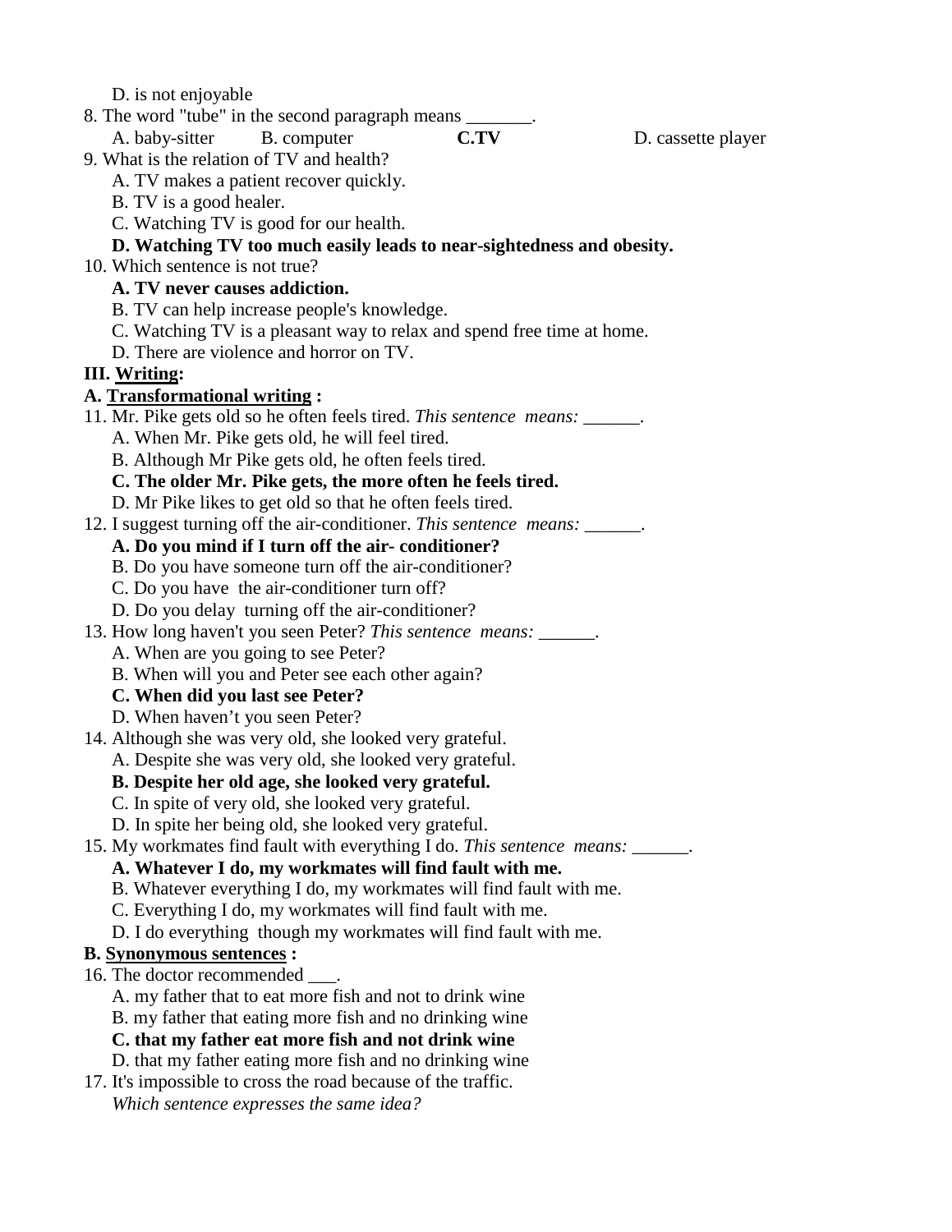D. is not enjoyable

8. The word "tube" in the second paragraph means \_\_\_\_\_\_\_.

A. baby-sitter B. computer **C.TV** D. cassette player

9. What is the relation of TV and health?

- A. TV makes a patient recover quickly.
- B. TV is a good healer.
- C. Watching TV is good for our health.

#### **D. Watching TV too much easily leads to near-sightedness and obesity.**

10. Which sentence is not true?

### **A. TV never causes addiction.**

- B. TV can help increase people's knowledge.
- C. Watching TV is a pleasant way to relax and spend free time at home.
- D. There are violence and horror on TV.

## **III. Writing:**

### **A. Transformational writing :**

- 11. Mr. Pike gets old so he often feels tired. *This sentence means:* \_\_\_\_\_\_.
	- A. When Mr. Pike gets old, he will feel tired.
	- B. Although Mr Pike gets old, he often feels tired.

### **C. The older Mr. Pike gets, the more often he feels tired.**

- D. Mr Pike likes to get old so that he often feels tired.
- 12. I suggest turning off the air-conditioner. *This sentence means:* \_\_\_\_\_\_.

### **A. Do you mind if I turn off the air- conditioner?**

- B. Do you have someone turn off the air-conditioner?
- C. Do you have the air-conditioner turn off?
- D. Do you delay turning off the air-conditioner?
- 13. How long haven't you seen Peter? *This sentence means:* \_\_\_\_\_\_.
	- A. When are you going to see Peter?
	- B. When will you and Peter see each other again?

## **C. When did you last see Peter?**

- D. When haven't you seen Peter?
- 14. Although she was very old, she looked very grateful.
- A. Despite she was very old, she looked very grateful.

## **B. Despite her old age, she looked very grateful.**

- C. In spite of very old, she looked very grateful.
- D. In spite her being old, she looked very grateful.
- 15. My workmates find fault with everything I do. *This sentence means:* \_\_\_\_\_\_.

# **A. Whatever I do, my workmates will find fault with me.**

- B. Whatever everything I do, my workmates will find fault with me.
- C. Everything I do, my workmates will find fault with me.
- D. I do everything though my workmates will find fault with me.

## **B. Synonymous sentences :**

- 16. The doctor recommended  $\qquad$ .
	- A. my father that to eat more fish and not to drink wine
	- B. my father that eating more fish and no drinking wine

## **C. that my father eat more fish and not drink wine**

- D. that my father eating more fish and no drinking wine
- 17. It's impossible to cross the road because of the traffic. *Which sentence expresses the same idea?*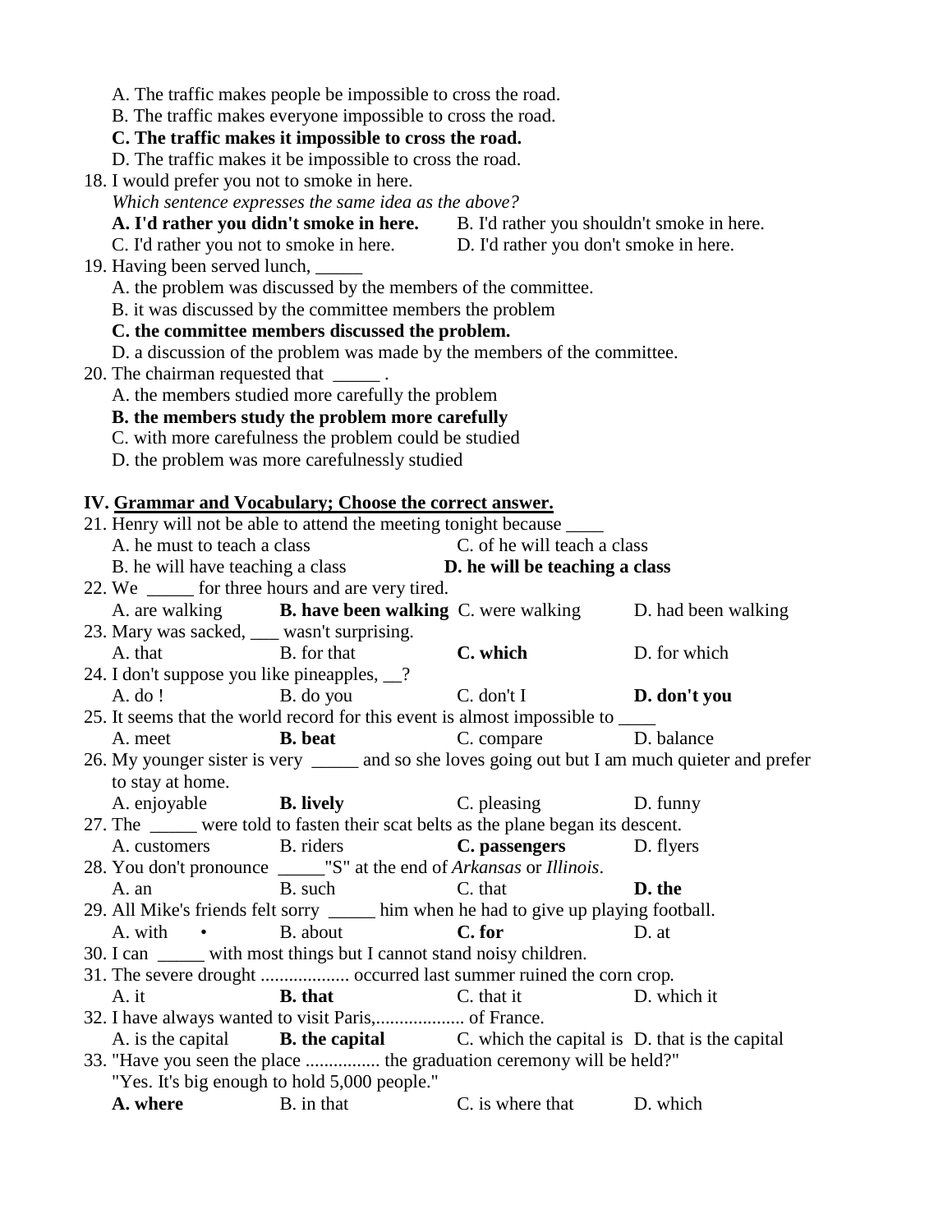|                                              | A. The traffic makes people be impossible to cross the road.                          |                                                                                        |                                                                                                   |
|----------------------------------------------|---------------------------------------------------------------------------------------|----------------------------------------------------------------------------------------|---------------------------------------------------------------------------------------------------|
|                                              | B. The traffic makes everyone impossible to cross the road.                           |                                                                                        |                                                                                                   |
|                                              | C. The traffic makes it impossible to cross the road.                                 |                                                                                        |                                                                                                   |
|                                              | D. The traffic makes it be impossible to cross the road.                              |                                                                                        |                                                                                                   |
| 18. I would prefer you not to smoke in here. |                                                                                       |                                                                                        |                                                                                                   |
|                                              | Which sentence expresses the same idea as the above?                                  |                                                                                        |                                                                                                   |
|                                              |                                                                                       | A. I'd rather you didn't smoke in here. B. I'd rather you shouldn't smoke in here.     |                                                                                                   |
|                                              |                                                                                       | C. I'd rather you not to smoke in here. D. I'd rather you don't smoke in here.         |                                                                                                   |
| 19. Having been served lunch,                |                                                                                       |                                                                                        |                                                                                                   |
|                                              | A. the problem was discussed by the members of the committee.                         |                                                                                        |                                                                                                   |
|                                              | B. it was discussed by the committee members the problem                              |                                                                                        |                                                                                                   |
|                                              | C. the committee members discussed the problem.                                       |                                                                                        |                                                                                                   |
|                                              |                                                                                       | D. a discussion of the problem was made by the members of the committee.               |                                                                                                   |
| 20. The chairman requested that _______.     |                                                                                       |                                                                                        |                                                                                                   |
|                                              | A. the members studied more carefully the problem                                     |                                                                                        |                                                                                                   |
|                                              | B. the members study the problem more carefully                                       |                                                                                        |                                                                                                   |
|                                              | C. with more carefulness the problem could be studied                                 |                                                                                        |                                                                                                   |
|                                              | D. the problem was more carefulnessly studied                                         |                                                                                        |                                                                                                   |
|                                              |                                                                                       |                                                                                        |                                                                                                   |
|                                              | IV. Grammar and Vocabulary; Choose the correct answer.                                |                                                                                        |                                                                                                   |
|                                              | 21. Henry will not be able to attend the meeting tonight because                      |                                                                                        |                                                                                                   |
| A. he must to teach a class                  |                                                                                       | C. of he will teach a class                                                            |                                                                                                   |
|                                              |                                                                                       | B. he will have teaching a class <b>D. he will be teaching a class</b>                 |                                                                                                   |
|                                              |                                                                                       |                                                                                        |                                                                                                   |
|                                              | 22. We _______ for three hours and are very tired.                                    |                                                                                        |                                                                                                   |
|                                              | A. are walking <b>B. have been walking</b> C. were walking                            |                                                                                        | D. had been walking                                                                               |
| 23. Mary was sacked, ___ wasn't surprising.  |                                                                                       |                                                                                        |                                                                                                   |
| A. that B. for that                          |                                                                                       | C. which                                                                               | D. for which                                                                                      |
| 24. I don't suppose you like pineapples, __? |                                                                                       | $C.$ don't I <b>D. don't you</b>                                                       |                                                                                                   |
| $A.$ do !                                    | B. do you                                                                             |                                                                                        |                                                                                                   |
|                                              |                                                                                       | 25. It seems that the world record for this event is almost impossible to _____        |                                                                                                   |
| A. meet                                      | <b>B.</b> beat                                                                        | C. compare D. balance                                                                  |                                                                                                   |
|                                              |                                                                                       |                                                                                        | 26. My younger sister is very _______ and so she loves going out but I am much quieter and prefer |
| to stay at home.                             |                                                                                       |                                                                                        |                                                                                                   |
|                                              | A. enjoyable <b>B. lively</b>                                                         | C. pleasing                                                                            | D. funny                                                                                          |
|                                              |                                                                                       | 27. The _____ were told to fasten their scat belts as the plane began its descent.     |                                                                                                   |
| A. customers                                 | B. riders                                                                             | C. passengers                                                                          | D. flyers                                                                                         |
|                                              | 28. You don't pronounce _______"S" at the end of <i>Arkansas</i> or <i>Illinois</i> . |                                                                                        |                                                                                                   |
| A. an                                        | B. such                                                                               | C. that                                                                                | D. the                                                                                            |
|                                              |                                                                                       | 29. All Mike's friends felt sorry ______ him when he had to give up playing football.  |                                                                                                   |
| A. with                                      | B. about                                                                              | C. for                                                                                 | D. at                                                                                             |
|                                              | 30. I can _____ with most things but I cannot stand noisy children.                   |                                                                                        |                                                                                                   |
|                                              |                                                                                       |                                                                                        |                                                                                                   |
| A. it                                        | <b>B.</b> that                                                                        | C. that it                                                                             | D. which it                                                                                       |
|                                              |                                                                                       |                                                                                        |                                                                                                   |
|                                              |                                                                                       | A. is the capital <b>B. the capital</b> C. which the capital is D. that is the capital |                                                                                                   |
|                                              |                                                                                       | 33. "Have you seen the place  the graduation ceremony will be held?"                   |                                                                                                   |
|                                              | "Yes. It's big enough to hold 5,000 people."                                          |                                                                                        |                                                                                                   |
| A. where                                     | B. in that                                                                            | C. is where that                                                                       | D. which                                                                                          |
|                                              |                                                                                       |                                                                                        |                                                                                                   |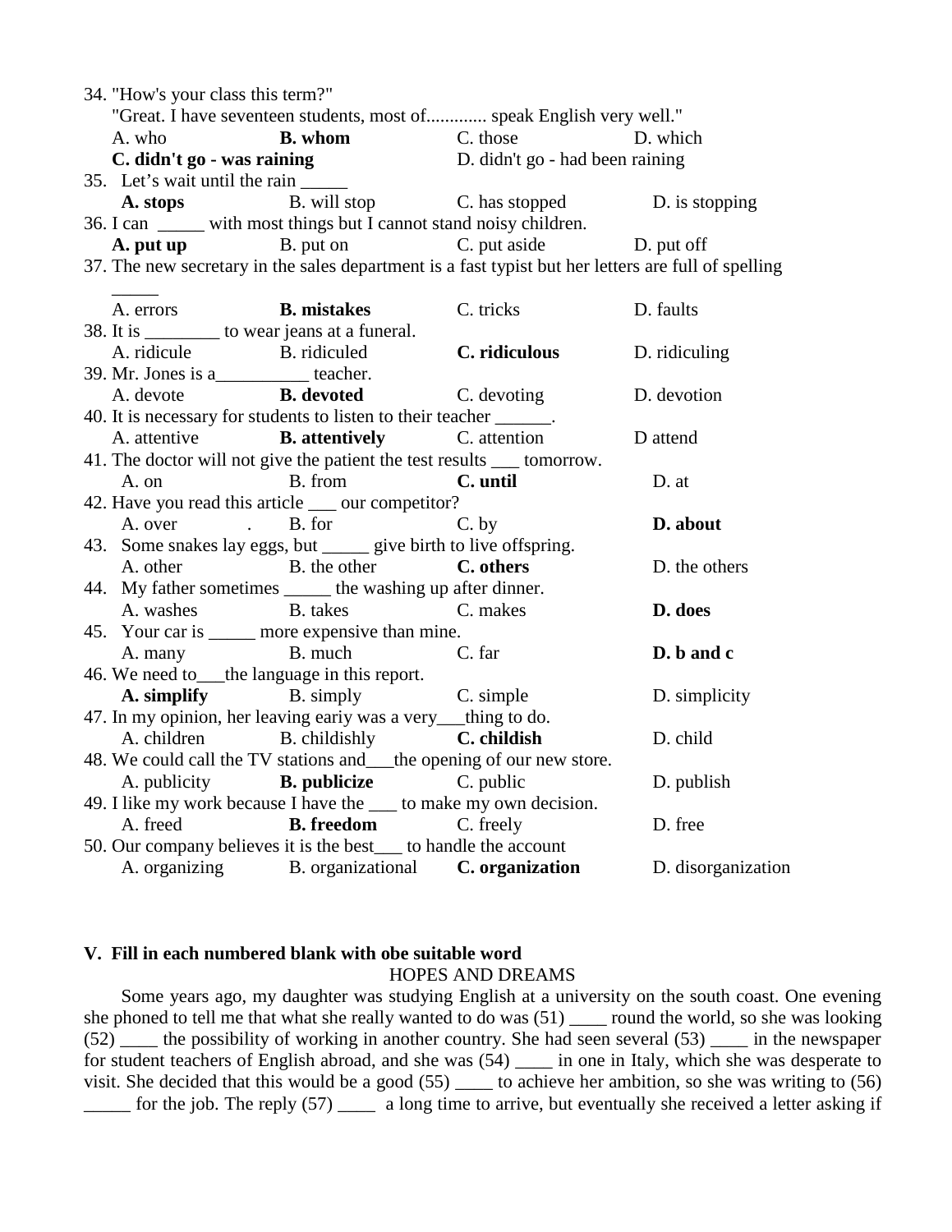| 34. "How's your class this term?"                           |                                                                          |                                                                                                     |               |  |
|-------------------------------------------------------------|--------------------------------------------------------------------------|-----------------------------------------------------------------------------------------------------|---------------|--|
|                                                             |                                                                          | "Great. I have seventeen students, most of speak English very well."                                |               |  |
| <b>B.</b> whom<br>A. who                                    |                                                                          | C. those D. which                                                                                   |               |  |
| C. didn't go - was raining                                  |                                                                          | D. didn't go - had been raining                                                                     |               |  |
| 35. Let's wait until the rain ______                        |                                                                          |                                                                                                     |               |  |
|                                                             |                                                                          | <b>A. stops</b> B. will stop B. has stopped D. is stopping                                          |               |  |
|                                                             | 36. I can ______ with most things but I cannot stand noisy children.     |                                                                                                     |               |  |
|                                                             |                                                                          | <b>A. put up</b> B. put on B. put of C. put aside D. put of f                                       |               |  |
|                                                             |                                                                          | 37. The new secretary in the sales department is a fast typist but her letters are full of spelling |               |  |
| A. errors                                                   | <b>B. mistakes</b> C. tricks                                             |                                                                                                     | D. faults     |  |
|                                                             | 38. It is ___________ to wear jeans at a funeral.                        |                                                                                                     |               |  |
| A. ridicule B. ridiculed                                    |                                                                          | C. ridiculous                                                                                       | D. ridiculing |  |
| 39. Mr. Jones is a__________ teacher.                       |                                                                          |                                                                                                     |               |  |
| A. devote                                                   | <b>B.</b> devoted                                                        | C. devoting                                                                                         | D. devotion   |  |
|                                                             | 40. It is necessary for students to listen to their teacher ______.      |                                                                                                     |               |  |
|                                                             | A. attentive <b>B. attentively</b> C. attention                          |                                                                                                     | D attend      |  |
|                                                             | 41. The doctor will not give the patient the test results ____ tomorrow. |                                                                                                     |               |  |
| A. on                                                       | B. from C. until                                                         |                                                                                                     | D. at         |  |
| 42. Have you read this article ____ our competitor?         |                                                                          |                                                                                                     |               |  |
|                                                             | A. over . B. for                                                         | $C.$ by                                                                                             | D. about      |  |
|                                                             | 43. Some snakes lay eggs, but ______ give birth to live offspring.       |                                                                                                     |               |  |
| A. other                                                    | B. the other C. others                                                   |                                                                                                     | D. the others |  |
| 44. My father sometimes ______ the washing up after dinner. |                                                                          |                                                                                                     |               |  |
| A. washes B. takes                                          | C. makes                                                                 |                                                                                                     | D. does       |  |
|                                                             | 45. Your car is ______ more expensive than mine.                         |                                                                                                     |               |  |
| A. many B. much                                             |                                                                          | C. far                                                                                              | D. b and c    |  |
|                                                             | 46. We need to ____the language in this report.                          |                                                                                                     |               |  |
|                                                             | <b>A. simplify</b> B. simply C. simple                                   |                                                                                                     | D. simplicity |  |
|                                                             | 47. In my opinion, her leaving early was a very_thing to do.             |                                                                                                     |               |  |
|                                                             | A. children B. childishly C. childish                                    |                                                                                                     | D. child      |  |
|                                                             | 48. We could call the TV stations and__the opening of our new store.     |                                                                                                     |               |  |
|                                                             | A. publicity <b>B. publicize</b> C. public                               |                                                                                                     | D. publish    |  |
|                                                             | 49. I like my work because I have the ____ to make my own decision.      |                                                                                                     |               |  |
| A. freed                                                    | <b>B.</b> freedom C. freely                                              |                                                                                                     | D. free       |  |
|                                                             | 50. Our company believes it is the best____ to handle the account        |                                                                                                     |               |  |
|                                                             |                                                                          | A. organizing B. organizational C. organization D. disorganization                                  |               |  |

#### **V. Fill in each numbered blank with obe suitable word** HOPES AND DREAMS

 Some years ago, my daughter was studying English at a university on the south coast. One evening she phoned to tell me that what she really wanted to do was (51) \_\_\_\_ round the world, so she was looking (52) \_\_\_\_ the possibility of working in another country. She had seen several (53) \_\_\_\_ in the newspaper for student teachers of English abroad, and she was (54) \_\_\_\_ in one in Italy, which she was desperate to visit. She decided that this would be a good (55) \_\_\_\_\_ to achieve her ambition, so she was writing to (56) \_\_\_\_\_ for the job. The reply (57) \_\_\_\_ a long time to arrive, but eventually she received a letter asking if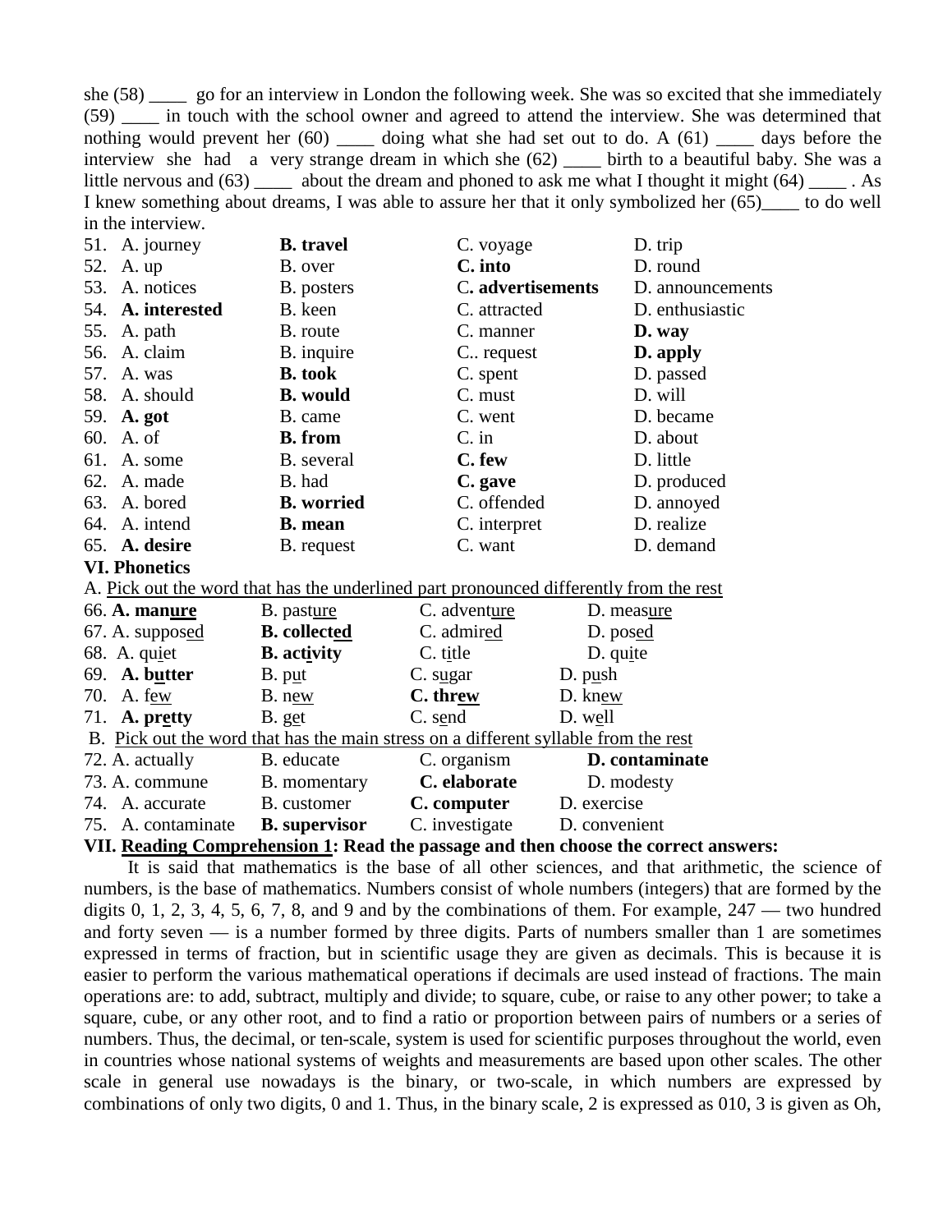she (58) go for an interview in London the following week. She was so excited that she immediately (59) \_\_\_\_ in touch with the school owner and agreed to attend the interview. She was determined that nothing would prevent her (60) \_\_\_\_\_ doing what she had set out to do. A (61) \_\_\_\_\_ days before the interview she had a very strange dream in which she (62) birth to a beautiful baby. She was a little nervous and  $(63)$  \_\_\_\_\_ about the dream and phoned to ask me what I thought it might  $(64)$  \_\_\_\_\_ . As I knew something about dreams, I was able to assure her that it only symbolized her (65)\_\_\_\_ to do well in the interview.

| 51. A. journey       | <b>B.</b> travel    | C. voyage                                                                              | D. trip          |
|----------------------|---------------------|----------------------------------------------------------------------------------------|------------------|
| 52. A. up            | B. over             | C. into                                                                                | D. round         |
| 53. A. notices       | B. posters          | C. advertisements                                                                      | D. announcements |
| 54. A. interested    | B. keen             | C. attracted                                                                           | D. enthusiastic  |
| 55. A. path          | B. route            | C. manner                                                                              | D. way           |
| 56. A. claim         | B. inquire          | C. request                                                                             | D. apply         |
| 57. A. was           | <b>B.</b> took      | C. spent                                                                               | D. passed        |
| 58. A. should        | <b>B.</b> would     | C. must                                                                                | D. will          |
| 59. A. got           | B. came             | C. went                                                                                | D. became        |
| 60. A. of            | <b>B.</b> from      | $C.$ in                                                                                | D. about         |
| 61. A. some          | B. several          | C. few                                                                                 | D. little        |
| 62. A. made          | B. had              | C. gave                                                                                | D. produced      |
| 63. A. bored         | <b>B.</b> worried   | C. offended                                                                            | D. annoyed       |
| 64. A. intend        | <b>B.</b> mean      | C. interpret                                                                           | D. realize       |
| 65. A. desire        | B. request          | C. want                                                                                | D. demand        |
| <b>VI. Phonetics</b> |                     |                                                                                        |                  |
|                      |                     | A. Pick out the word that has the underlined part pronounced differently from the rest |                  |
| 66. A. manure        | B. pasture          | C. adventure                                                                           | D. measure       |
| $67.$ A. supposed    | <b>B.</b> collected | C. admired                                                                             | D. posed         |
| $68\alpha$ aniet     | R activity          | $\Gamma$ title                                                                         | D quite          |

| 68. A. quiet                                                                        | <b>B.</b> activity   | C. title       | $D.$ quite     |  |
|-------------------------------------------------------------------------------------|----------------------|----------------|----------------|--|
| 69. A. butter                                                                       | B. put               | C. sugar       | D. push        |  |
| 70. A. few                                                                          | B. new               | C. threw       | D. knew        |  |
| 71. <b>A.</b> pretty                                                                | B. get               | C. send        | D. well        |  |
| B. Pick out the word that has the main stress on a different syllable from the rest |                      |                |                |  |
| 72. A. actually                                                                     | B. educate           | C. organism    | D. contaminate |  |
| 73. A. commune                                                                      | B. momentary         | C. elaborate   | D. modesty     |  |
| 74. A. accurate                                                                     | B. customer          | C. computer    | D. exercise    |  |
| 75. A. contaminate                                                                  | <b>B.</b> supervisor | C. investigate | D. convenient  |  |
|                                                                                     |                      |                |                |  |

#### **VII. Reading Comprehension 1: Read the passage and then choose the correct answers:**

It is said that mathematics is the base of all other sciences, and that arithmetic, the science of numbers, is the base of mathematics. Numbers consist of whole numbers (integers) that are formed by the digits 0, 1, 2, 3, 4, 5, 6, 7, 8, and 9 and by the combinations of them. For example,  $247$  — two hundred and forty seven — is a number formed by three digits. Parts of numbers smaller than 1 are sometimes expressed in terms of fraction, but in scientific usage they are given as decimals. This is because it is easier to perform the various mathematical operations if decimals are used instead of fractions. The main operations are: to add, subtract, multiply and divide; to square, cube, or raise to any other power; to take a square, cube, or any other root, and to find a ratio or proportion between pairs of numbers or a series of numbers. Thus, the decimal, or ten-scale, system is used for scientific purposes throughout the world, even in countries whose national systems of weights and measurements are based upon other scales. The other scale in general use nowadays is the binary, or two-scale, in which numbers are expressed by combinations of only two digits, 0 and 1. Thus, in the binary scale, 2 is expressed as 010, 3 is given as Oh,